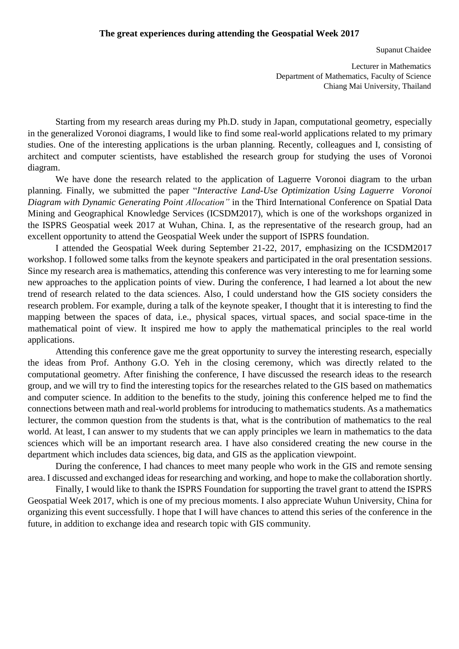Supanut Chaidee

Lecturer in Mathematics Department of Mathematics, Faculty of Science Chiang Mai University, Thailand

Starting from my research areas during my Ph.D. study in Japan, computational geometry, especially in the generalized Voronoi diagrams, I would like to find some real-world applications related to my primary studies. One of the interesting applications is the urban planning. Recently, colleagues and I, consisting of architect and computer scientists, have established the research group for studying the uses of Voronoi diagram.

We have done the research related to the application of Laguerre Voronoi diagram to the urban planning. Finally, we submitted the paper "*Interactive Land-Use Optimization Using Laguerre Voronoi Diagram with Dynamic Generating Point Allocation"* in the Third International Conference on Spatial Data Mining and Geographical Knowledge Services (ICSDM2017), which is one of the workshops organized in the ISPRS Geospatial week 2017 at Wuhan, China. I, as the representative of the research group, had an excellent opportunity to attend the Geospatial Week under the support of ISPRS foundation.

I attended the Geospatial Week during September 21-22, 2017, emphasizing on the ICSDM2017 workshop. I followed some talks from the keynote speakers and participated in the oral presentation sessions. Since my research area is mathematics, attending this conference was very interesting to me for learning some new approaches to the application points of view. During the conference, I had learned a lot about the new trend of research related to the data sciences. Also, I could understand how the GIS society considers the research problem. For example, during a talk of the keynote speaker, I thought that it is interesting to find the mapping between the spaces of data, i.e., physical spaces, virtual spaces, and social space-time in the mathematical point of view. It inspired me how to apply the mathematical principles to the real world applications.

Attending this conference gave me the great opportunity to survey the interesting research, especially the ideas from Prof. Anthony G.O. Yeh in the closing ceremony, which was directly related to the computational geometry. After finishing the conference, I have discussed the research ideas to the research group, and we will try to find the interesting topics for the researches related to the GIS based on mathematics and computer science. In addition to the benefits to the study, joining this conference helped me to find the connections between math and real-world problems for introducing to mathematics students. As a mathematics lecturer, the common question from the students is that, what is the contribution of mathematics to the real world. At least, I can answer to my students that we can apply principles we learn in mathematics to the data sciences which will be an important research area. I have also considered creating the new course in the department which includes data sciences, big data, and GIS as the application viewpoint.

During the conference, I had chances to meet many people who work in the GIS and remote sensing area. I discussed and exchanged ideas for researching and working, and hope to make the collaboration shortly.

Finally, I would like to thank the ISPRS Foundation for supporting the travel grant to attend the ISPRS Geospatial Week 2017, which is one of my precious moments. I also appreciate Wuhun University, China for organizing this event successfully. I hope that I will have chances to attend this series of the conference in the future, in addition to exchange idea and research topic with GIS community.